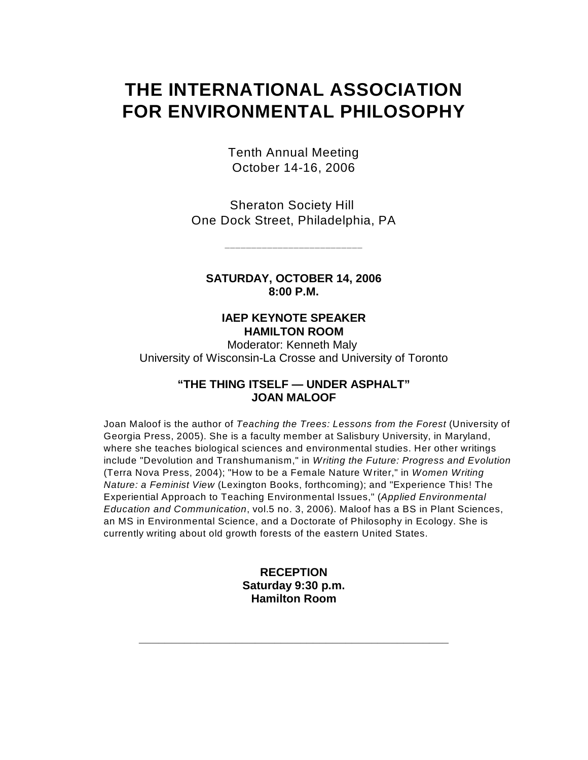# **THE INTERNATIONAL ASSOCIATION FOR ENVIRONMENTAL PHILOSOPHY**

Tenth Annual Meeting October 14-16, 2006

Sheraton Society Hill One Dock Street, Philadelphia, PA

**\_\_\_\_\_\_\_\_\_\_\_\_\_\_\_\_\_\_\_\_\_\_\_\_\_\_**

**SATURDAY, OCTOBER 14, 2006 8:00 P.M.**

### **IAEP KEYNOTE SPEAKER HAMILTON ROOM**

Moderator: Kenneth Maly University of Wisconsin-La Crosse and University of Toronto

#### **"THE THING ITSELF — UNDER ASPHALT" JOAN MALOOF**

Joan Maloof is the author of *Teaching the Trees: Lessons from the Forest* (University of Georgia Press, 2005). She is a faculty member at Salisbury University, in Maryland, where she teaches biological sciences and environmental studies. Her other writings include "Devolution and Transhumanism," in *Writing the Future: Progress and Evolution*  (Terra Nova Press, 2004); "How to be a Female Nature Writer," in *Women Writing Nature: a Feminist View* (Lexington Books, forthcoming); and "Experience This! The Experiential Approach to Teaching Environmental Issues," (*Applied Environmental Education and Communication*, vol.5 no. 3, 2006). Maloof has a BS in Plant Sciences, an MS in Environmental Science, and a Doctorate of Philosophy in Ecology. She is currently writing about old growth forests of the eastern United States.

### **RECEPTION Saturday 9:30 p.m. Hamilton Room**

**\_\_\_\_\_\_\_\_\_\_\_\_\_\_\_\_\_\_\_\_\_\_\_\_\_\_\_\_\_\_\_\_\_\_\_\_\_\_\_\_\_\_\_\_\_\_\_\_**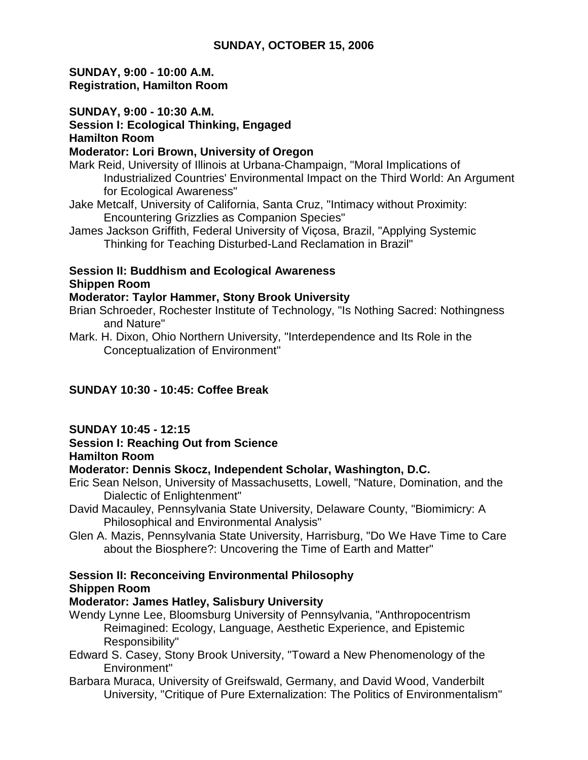## **SUNDAY, OCTOBER 15, 2006**

**SUNDAY, 9:00 - 10:00 A.M. Registration, Hamilton Room**

**SUNDAY, 9:00 - 10:30 A.M.** 

#### **Session I: Ecological Thinking, Engaged Hamilton Room**

#### **Moderator: Lori Brown, University of Oregon**

- Mark Reid, University of Illinois at Urbana-Champaign, "Moral Implications of Industrialized Countries' Environmental Impact on the Third World: An Argument for Ecological Awareness"
- Jake Metcalf, University of California, Santa Cruz, "Intimacy without Proximity: Encountering Grizzlies as Companion Species"
- James Jackson Griffith, Federal University of Viçosa, Brazil, "Applying Systemic Thinking for Teaching Disturbed-Land Reclamation in Brazil"

## **Session II: Buddhism and Ecological Awareness Shippen Room**

### **Moderator: Taylor Hammer, Stony Brook University**

- Brian Schroeder, Rochester Institute of Technology, "Is Nothing Sacred: Nothingness and Nature"
- Mark. H. Dixon, Ohio Northern University, "Interdependence and Its Role in the Conceptualization of Environment"

# **SUNDAY 10:30 - 10:45: Coffee Break**

### **SUNDAY 10:45 - 12:15**

# **Session I: Reaching Out from Science**

#### **Hamilton Room**

### **Moderator: Dennis Skocz, Independent Scholar, Washington, D.C.**

- Eric Sean Nelson, University of Massachusetts, Lowell, "Nature, Domination, and the Dialectic of Enlightenment"
- David Macauley, Pennsylvania State University, Delaware County, "Biomimicry: A Philosophical and Environmental Analysis"
- Glen A. Mazis, Pennsylvania State University, Harrisburg, "Do We Have Time to Care about the Biosphere?: Uncovering the Time of Earth and Matter"

# **Session II: Reconceiving Environmental Philosophy Shippen Room**

## **Moderator: James Hatley, Salisbury University**

- Wendy Lynne Lee, Bloomsburg University of Pennsylvania, "Anthropocentrism Reimagined: Ecology, Language, Aesthetic Experience, and Epistemic Responsibility"
- Edward S. Casey, Stony Brook University, "Toward a New Phenomenology of the Environment"
- Barbara Muraca, University of Greifswald, Germany, and David Wood, Vanderbilt University, "Critique of Pure Externalization: The Politics of Environmentalism"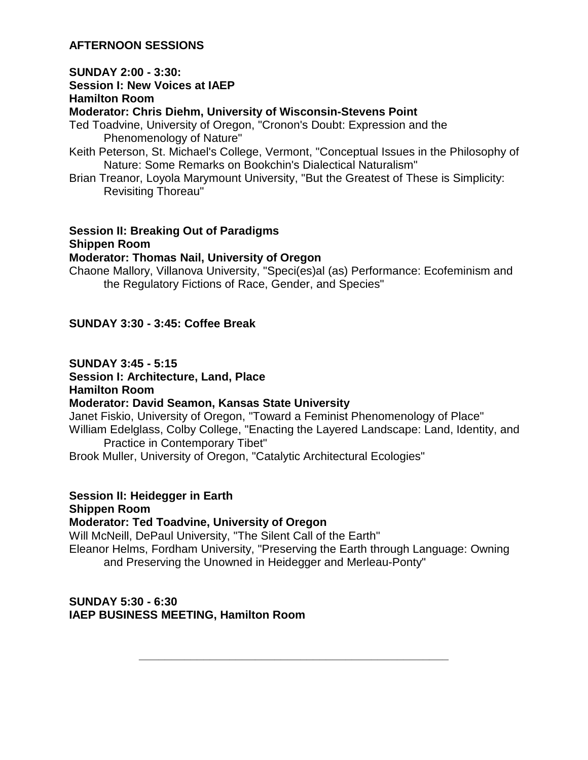## **AFTERNOON SESSIONS**

#### **SUNDAY 2:00 - 3:30:**

**Session I: New Voices at IAEP**

#### **Hamilton Room**

**Moderator: Chris Diehm, University of Wisconsin-Stevens Point**

- Ted Toadvine, University of Oregon, "Cronon's Doubt: Expression and the Phenomenology of Nature"
- Keith Peterson, St. Michael's College, Vermont, "Conceptual Issues in the Philosophy of Nature: Some Remarks on Bookchin's Dialectical Naturalism"
- Brian Treanor, Loyola Marymount University, "But the Greatest of These is Simplicity: Revisiting Thoreau"

# **Session II: Breaking Out of Paradigms Shippen Room**

#### **Moderator: Thomas Nail, University of Oregon**

Chaone Mallory, Villanova University, "Speci(es)al (as) Performance: Ecofeminism and the Regulatory Fictions of Race, Gender, and Species"

### **SUNDAY 3:30 - 3:45: Coffee Break**

#### **SUNDAY 3:45 - 5:15**

**Session I: Architecture, Land, Place**

**Hamilton Room**

### **Moderator: David Seamon, Kansas State University**

Janet Fiskio, University of Oregon, "Toward a Feminist Phenomenology of Place" William Edelglass, Colby College, "Enacting the Layered Landscape: Land, Identity, and Practice in Contemporary Tibet"

Brook Muller, University of Oregon, "Catalytic Architectural Ecologies"

## **Session II: Heidegger in Earth**

**Shippen Room**

### **Moderator: Ted Toadvine, University of Oregon**

Will McNeill, DePaul University, "The Silent Call of the Earth" Eleanor Helms, Fordham University, "Preserving the Earth through Language: Owning and Preserving the Unowned in Heidegger and Merleau-Ponty"

**\_\_\_\_\_\_\_\_\_\_\_\_\_\_\_\_\_\_\_\_\_\_\_\_\_\_\_\_\_\_\_\_\_\_\_\_\_\_\_\_\_\_\_\_\_\_\_\_**

### **SUNDAY 5:30 - 6:30 IAEP BUSINESS MEETING, Hamilton Room**